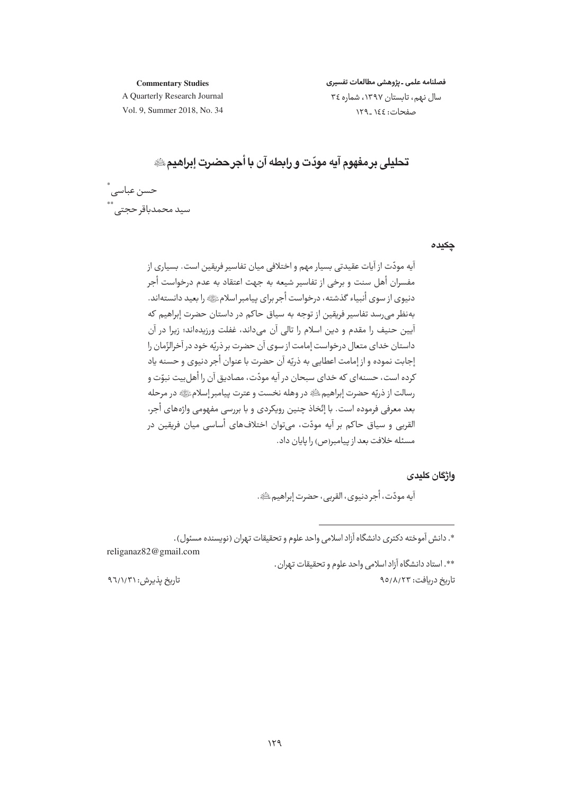**Commentary Studies** 

فصلنامه علمى ـ يژوهشى مطالعات تفسيرى سال نهم، تابستان ١٣٩٧، شماره ٣٤ صفحات: ١٤٤\_١٢٩

A Quarterly Research Journal Vol. 9. Summer 2018, No. 34

تحليلي بر مفهوم آبه مودّت و رابطه آن با أجر حضرت ابراهيم ِ ِ

حسن عباسى ً \_\_<br>سید محمدباقر حجتے , <sup>\*\*</sup>

حكىده

آيه مودّت از آيات عقيدتي بسيار مهم و اختلافي ميان تفاسير فريقين است. بسياري از مفسران أهل سنت و برخی از تفاسیر شیعه به جهت اعتقاد به عدم درخواست أجر دنیوی از سوی أنبیاء گذشته، درخواست أجر برای پیامبر اسلامﷺ را بعید دانستهاند. بهنظر می رسد تفاسیر فریقین از توجه به سیاق حاکم در داستان حضرت إبراهیم که آيين حنيف را مقدم و دين اسلام را تالي آن ميداند، غفلت ورزيدهاند؛ زيرا در آن داستان خداي متعال درخواست إمامت از سوي آن حضرت بر ذريّه خود در آخرالزّمان را إجابت نموده و از إمامت اعطايي به ذريّه آن حضرت با عنوان أجر دنيوي و حسنه ياد کرده است، حسنهای که خدای سیحان در آیه مودّت، مصادیق آن را أهل بیت نیوّت و رسالت از ذريّه حضرت إبراهيم ﷺ در وهله نخست و عترت پيامبر إسلامﷺ در مرحله بعد معرفي فرموده است. با إتّخاذ چنين رويكردي و با بررسي مفهومي واژههاي أجر، القربي و سياق حاكم بر آيه مودّت، مي توان اختلافهاي أساسي ميان فريقين در مسئله خلافت بعد از پیامبر(ص) را پایان داد.

واژگان کلیدی

آيه مودّت، أجر دنيوي، القربي، حضرت إبراهيم ﷺ.

\*. دانش آموخته دکتری دانشگاه آزاد اسلامی واحد علوم و تحقیقات تهران (نویسنده مسئول) .

religanaz82@gmail.com \*\*. استاد دانشگاه آزاد اسلامی واحد علوم و تحقیقات تهران .

تاریخ دریافت: ۹۵/۸/۲۳

تاریخ پذیرش: ۹٦/١/٣١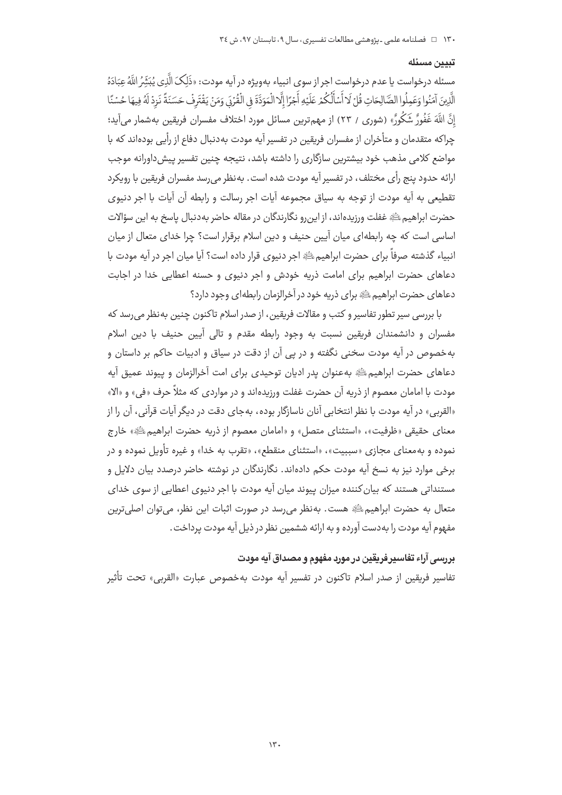## تبيين مسئله

مسئله درخواست يا عدم درخواست اجر از سوى انبياء بهويژه در آيه مودت: «ذَلِكَ الَّذِي يُبَثِّرُ اللَّهُ عِبَادَهُ الَّذِينَ آمَنُوا وَعَمِلُوا الصَّالِحَاتِ قُلْ لَا أَسْأَلُكُمْ عَلَيْهِ أَجْرًا إِلَّا الْمَوَدَّةَ في الْقُرْبَي وَمَنْ يَقْتَرِفْ حَسَنَةً نَزِدْ لَهُ فِيهَا حُسْنًا إِنَّ اللَّهَ غَفُورٌ شَكُورٌ» (شورى / ٢٣) از مهمترين مسائل مورد اختلاف مفسران فريقين بهشمار مي آيد؛ چراکه متقدمان و متأخران از مفسران فریقین در تفسیر آیه مودت بهدنبال دفاع از رأیی بودهاند که با مواضع کلامی مذهب خود بیشترین سازگاری را داشته باشد، نتیجه چنین تفسیر پیش داورانه موجب ارائه حدود ينج رأى مختلف، در تفسير آيه مودت شده است. بهنظر مي رسد مفسران فريقين با رويكرد تقطیعی به آیه مودت از توجه به سیاق مجموعه آیات اجر رسالت و رابطه آن آیات با اجر دنیوی حضرت ابراهيم ﷺ غفلت ورزيدهاند، از اين رو نگارندگان در مقاله حاضر به دنبال ياسخ به اين سؤالات اساسی است که چه رابطهای میان آیین حنیف و دین اسلام برقرار است؟ چرا خدای متعال از میان انبياء گذشته صرفاً براي حضرت ابراهيمﷺ اجر دنيوي قرار داده است؟ آيا ميان اجر در آيه مودت با دعاهای حضرت ابراهیم برای امامت ذریه خودش و اجر دنیوی و حسنه اعطایی خدا در اجابت دعاهای حضرت ایراهیمﷺ برای ذریه خود در آخرالزمان رابطهای وجود دارد؟

با بررسی سیر تطور تفاسیر و کتب و مقالات فریقین، از صدر اسلام تاکنون چنین به نظر می رسد که مفسران و دانشمندان فریقین نسبت به وجود رابطه مقدم و تالی آیین حنیف با دین اسلام بهخصوص در آیه مودت سخنی نگفته و در پی آن از دقت در سیاق و ادبیات حاکم بر داستان و دعاهای حضرت ابراهیمﷺ بهعنوان پدر ادیان توحیدی برای امت آخرالزمان و پیوند عمیق آیه مودت با امامان معصوم از ذریه آن حضرت غفلت ورزیدهاند و در مواردی که مثلاً حرف «فی» و «الا» «القربي» در آيه مودت با نظر انتخابي آنان ناسازگار بوده، بهجاي دقت در ديگر آيات قرآني، آن را از معنای حقیقی «ظرفیت»، «استثنای متصل» و «امامان معصوم از ذریه حضرت ابراهیم ﷺ» خارج نموده و به معنای مجازی «سببیت»، «استثنای منقطع»، «تقرب به خدا» و غیره تأویل نموده و در برخی موارد نیز به نسخ آیه مودت حکم دادهاند. نگارندگان در نوشته حاضر درصدد بیان دلایل و مستنداتی هستند که بیان کننده میزان پیوند میان آیه مودت با اجر دنیوی اعطایی از سوی خدای متعال به حضرت ابراهیم ﷺ هست. به نظر می رسد در صورت اثبات این نظر، می توان اصلی ترین مفهوم آيه مودت را به دست آورده و به ارائه ششمين نظر در ذيل آيه مودت پرداخت .

## بررسي آراء تفاسيرفريقين در مورد مفهوم و مصداق آيه مودت

تفاسير فريقين از صدر اسلام تاكنون در تفسير آيه مودت بهخصوص عبارت «القربي» تحت تأثير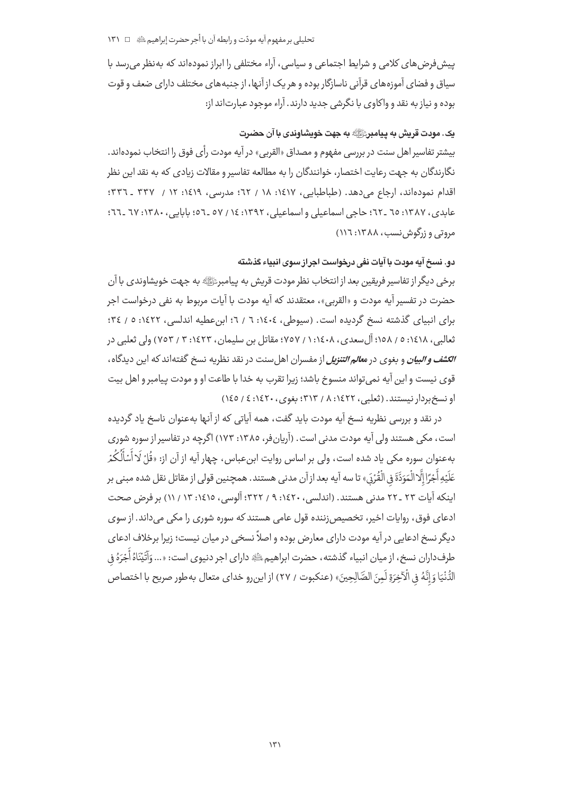## تحليلي پر مفهوم آيه مودّت و رابطه آن با أجر حضرت إبراهيم ﷺ □ ١٣١

پیش فرض های کلامی و شرایط اجتماعی و سیاسی، آراء مختلفی را ابراز نمودهاند که بهنظر می رسد با سیاق و فضای آموزههای قرآنی ناسازگار بوده و هر یک از آنها، از جنبههای مختلف دارای ضعف و قوت بوده و نیاز به نقد و واکاوی با نگرشی جدید دارند. آراء موجود عبارتاند از:

## يک. مودت قريش به پيامبر ﷺ به جهت خويشاوندی با آن حضرت

بيشتر تفاسير اهل سنت در بررسي مفهوم و مصداق «القربي» در آيه مودت رأي فوق را انتخاب نمودهاند. .<br>نگارندگان به جهت رعایت اختصار، خوانندگان را به مطالعه تفاسیر و مقالات زیادی که به نقد این نظر اقدام نمودهاند، ارحاع می دهد. (طباطبایی، ۱۶۱۷، ۱۸ / ۲۲؛ مدرسی، ۱۶۱۹؛ ۱۲ / ۳۳۷ ـ ۳۳۲: عابدي، ١٣٨٧: ٦٥ \_٢٢؛ حاجي اسماعيلي واسماعيلي، ١٣٩٢: ١٤ / ٥٧ \_٥٦؛ بابابي، ١٣٨٠: ٦٧ \_٢٦: مروتی و زرگوش نسب، ۱۳۸۸: ۱۱٦)

### دو. نسخ آیه مودت با آیات نفی درخواست اجراز سوی انبیاء گذشته

برخی دیگر از تفاسیر فریقین بعد از انتخاب نظر مودت قریش به پیامبرﷺ به جهت خویشاوندی با آن حضرت در تفسير آيه مودت و «القربي»، معتقدند كه آيه مودت با آيات مربوط به نفي درخواست اجر برای انبیای گذشته نسخ گردیده است. (سیوطی، ١٤٠٤: ٦ / ٦؛ ابن عطیه اندلسی، ١٤٢٢: ٥ / ٣٤؛ ثعالبي، ١٤١٨: ٥ / ١٥٨؛ آل سعدي، ١٤٠٨: ١ / ٧٥٧؛ مقاتل بن سليمان، ١٤٢٣: ٣ / ٧٥٣) ولي ثعلبي در ال*کشف و البیان* و بغوی در م*عالم التنزیل* از مفسران اهل سنت در نقد نظریه نسخ گفته|ند که این دیدگاه، قوی نیست و این آیه نمیتواند منسوخ باشد؛ زیرا تقرب به خدا با طاعت او و مودت پیامبر و اهل بیت او نسخ بردار نيستند. (ثعلبي، ١٤٢٢: ٨ / ٣١٣؛ بغوي، ١٤٢٠: ٤ / ١٤٥)

در نقد و پررسی نظریه نسخ آیه مودت باید گفت، همه آباتی که از آنها بهعنوان ناسخ باد گردیده است، مکی هستند ولی آیه مودت مدنی است . (آریانفر، ۱۳۸۵: ۱۷۳) اگرچه در تفاسیر از سوره شوری بهعنوان سوره مکی یاد شده است، ولی بر اساس روایت ابنِعباس، چهار آیه از آن از: «قُلْ لَا أَسْأَلُكُمْ عَلَيْهِ أَجْرًا إِلَّا الْمَوَدَّةَ فِى الْقُرْدَى» تا سه آيه بعد از آن مدنى هستند. همچنين قولى از مقاتل نقل شده مبنى بر اینکه آیات ۲۳ ـ ۲۲ مدنی هستند. (اندلسی، ۱٤۲۰؛ ۹ / ۳۲۲؛ آلوسی، ۱٤۱٥: ۱۳ / ۱۱) بر فرض صحت ادعای فوق، روایات اخیر، تخصیص;ننده قول عامی هستند که سوره شوری را مکی میداند. از سوی دیگر نسخ ادعایی در آیه مودت دارای معارض بوده و اصلاً نسخی در میان نیست؛ زیرا برخلاف ادعای طرفداران نسخ، از ميان انبياء گذشته، حضرت ابراهيم ﷺ داراي اجر دنيوي است: «... وَآَتَيْنَاهُ أَجْرَهُ في الدُّنْيَا وَ إِنَّهُ فِي الْآخِرَةِ لَمِنَ الصَّالِحِينَ» (عنكبوت / ٢٧) از اين,رو خداي متعال به طور صريح با اختصاص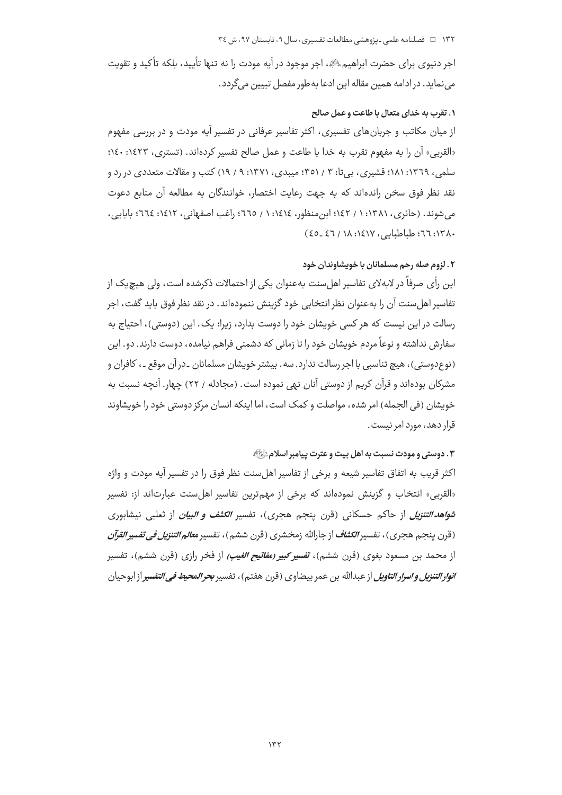#### ۱۳۲ = فصلنامه علمی ـ یژوهشی مطالعات تفسیری، سال ۹، تابستان ۹۷، ش ٣٤

اجر دنیوی برای حضرت ابراهیمﷺ، اجر موجود در آیه مودت را نه تنها تأیید، بلکه تأکید و تقویت می نماید. در ادامه همین مقاله این ادعا به طور مفصل تبیین میگردد.

#### ۱. تقرب به خدای متعال با طاعت و عمل صالح

از میان مکاتب و جریانهای تفسیری، اکثر تفاسیر عرفانی در تفسیر آیه مودت و در بررسی مفهوم «القربي» آن را به مفهوم تقرب به خدا با طاعت و عمل صالح تفسير كردهاند. (تسترى، ١٤٢٣: ١٤٠؛ سلمي، ١٣٦٩: ١٨١؛ قشيري، بي تا: ٣ / ٣٥١؛ ميبدي، ١٣٧١: ٩ / ١٩) كتب و مقالات متعددي در رد و نقد نظر فوق سخن راندهاند که به جهت رعایت اختصار، خوانندگان به مطالعه آن منابع دعوت می شوند. (حائری، ۱۳۸۱: ۱ / ۱٤۲؛ این منظور، ۱٤١٤: ۱ / ٦٦٥؛ راغب اصفهانی، ۱٤١٢؛ ٦٦٤؛ بابایی، ٠٨ ١٣: ٦٦: طباطياتي، ١٤١٧: ١٨ / ٤٦ ـ٤٥)

## ۲. لزوم صله رحم مسلمانان با خویشاوندان خود

این رأی صرفاً در لابهلای تفاسیر اهل سنت بهعنوان یکی از احتمالات ذکرشده است، ولی هیچ یک از تفاسیر اهل سنت آن را بهعنوان نظر انتخابی خود گزینش ننمودهاند. در نقد نظر فوق باید گفت، اجر رسالت در این نیست که هر کسی خویشان خود را دوست بدارد، زیرا؛ یک. این (دوستی)، احتیاج به سفارش نداشته و نوعاً مردم خویشان خود را تا زمانی که دشمنی فراهم نیامده، دوست دارند. دو. این (نوعدوستي)، هيچ تناسبي با اجر رسالت ندارد. سه. بيشتر خويشان مسلمانان ـدر آن موقع ـ، كافران و مشرکان بودهاند و قرآن کریم از دوستی آنان نهی نموده است. (مجادله / ۲۲) چهار. آنچه نسبت به خویشان (فی الجمله) امر شده، مواصلت و کمک است، اما اینکه انسان مرکز دوستی خود را خویشاوند قرار دهد، مورد امر نیست.

## ٣. دوستي و مودت نسبت به اهل بيت و عترت پيامبر اسلامﷺ

اکثر قریب به اتفاق تفاسیر شیعه و برخی از تفاسیر اهل سنت نظر فوق را در تفسیر آیه مودت و واژه «القربی» انتخاب و گزینش نمودهاند که برخی از مهمترین تفاسیر اهلسنت عبارتاند از: تفسیر *شواهد التنزیل* از حاکم حسکانی (قرن پنجم هجری)، تفسیر *الکشف و البیان* از ثعلبی نیشابوری (قرن ينجم هجري)، تفسير *الكشاف ا*ز جارالله زمخشري (قرن ششم)، تفسير *معالم التنزيل في تفسير القرآن* از محمد بن مسعود بغوی (قرن ششم)، **تفسیر** *کبیر (مفاتیح الغیب)* **ا**ز فخر رازی (قرن ششم)، تفسیر *انوار التنزيل و اسرار التاويل* از عبدالله بن عمر بيضاوي (قرن هفتم)، تفسير ب*حر المحيط في التفسي*ر از ابوحيان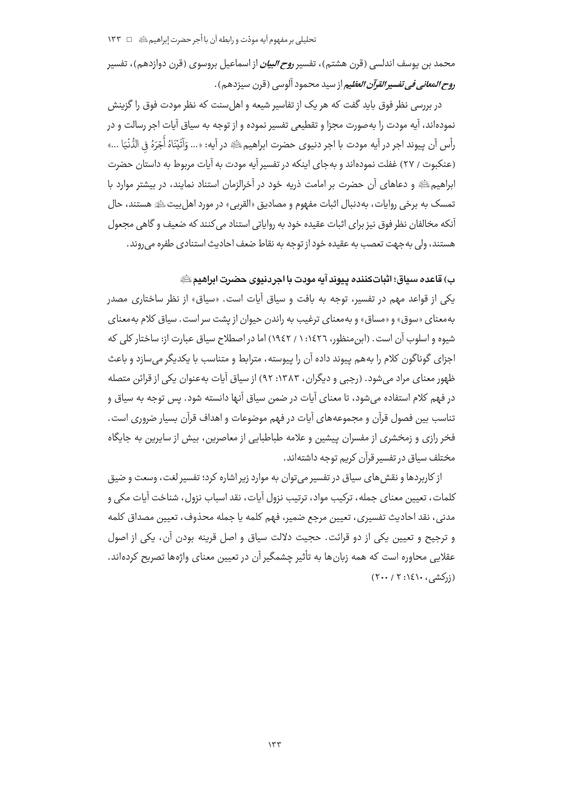محمد بن یوسف اندلسی (قرن هشتم)، تفسیر *روح البیان* از اسماعیل بروسوی (قرن دوازدهم)، تفسیر ر*وح المعاني في تفسير القرآن العظي*م از سيد محمود آلوسي (قرن سيزدهم) .

در بررسی نظر فوق باید گفت که هر یک از تفاسیر شیعه و اهل سنت که نظر مودت فوق را گزینش نمودهاند، آیه مودت را بهصورت مجزا و تقطیعی تفسیر نموده و از توجه به سیاق آیات اجر رسالت و در رأس آن پيوند اجر در آيه مودت با اجر دنيوي حضرت ابراهيمﷺ در آيه: «... وَآَتَيْنَاهُ أَجْرَهُ فِي الدُّنْيَا ...» (عنكبوت / ٢٧) غفلت نمودهاند و بهجاي اينكه در تفسير آيه مودت به آيات مربوط به داستان حضرت ابراهیم ﷺ و دعاهای آن حضرت بر امامت ذریه خود در آخرالزمان استناد نمایند، در بیشتر موارد با تمسک به برخی روایات، بهدنبال اثبات مفهوم و مصادیق «القربی» در مورد اهل بیتﷺ هستند، حال آنکه مخالفان نظر فوق نیز برای اثبات عقیده خود به روایاتی استناد می کنند که صعیف و گاهی مجعول هستند، ولي به جهت تعصب به عقيده خود از توجه به نقاط ضعف احاديث استنادي طفره مي روند.

## ب) قاعده سياق؛ اثباتكننده ييوند آيه مودت با اجردنيوي حضرت ابراهيم ﷺ

یکی از قواعد مهم در تفسیر، توجه به بافت و سیاق آیات است. «سیاق» از نظر ساختاری مصدر بهمعنای «سوق» و «مساق» و بهمعنای ترغیب به راندن حیوان از پشت سر است. سیاق کلام بهمعنای شیوه و اسلوب آن است. (این منظور، ۱٤٢٦: ۱ / ١٩٤٢) اما در اصطلاح سیاق عبارت از: ساختار کلی که اجزای گوناگون کلام را به هم پیوند داده آن را پیوسته، مترابط و متناسب با یکدیگر می سازد و باعث ظهور معنای مراد می شود. (رحبی و دیگران، ۱۳۸۳: ۹۲) از سیاق آیات بهعنوان یکی از قرائن متصله در فهم کلام استفاده میشود، تا معنای آیات در ضمن سیاق آنها دانسته شود. پس توجه به سیاق و تناسب بین فصول قرآن و مجموعههای آیات در فهم موضوعات و اهداف قرآن بسیار ضروری است. فخر رازی و زمخشری از مفسران پیشین و علامه طباطبایی از معاصرین، بیش از سایرین به جایگاه مختلف سیاق در تفسیر قرآن کریم توجه داشتهاند.

از کاربردها و نقش های سیاق در تفسیر میتوان به موارد زیر اشاره کرد؛ تفسیر لغت، وسعت و ضیق كلمات، تعيين معناي جمله، تركيب مواد، ترتيب نزول آيات، نقد اسباب نزول، شناخت آيات مكي و مدنی، نقد احادیث تفسیری، تعیین مرجع ضمیر، فهم کلمه یا جمله محذوف، تعیین مصداق کلمه و ترجيح و تعيين يكي از دو قرائت. حجيت دلالت سياق و اصل قرينه بودن آن، يكي از اصول عقلایی محاوره است که همه زبانها به تأثیر چشمگیر آن در تعیین معنای واژهها تصریح کردهاند.  $(Y \cdots / Y : \xi \rightarrow \dots)$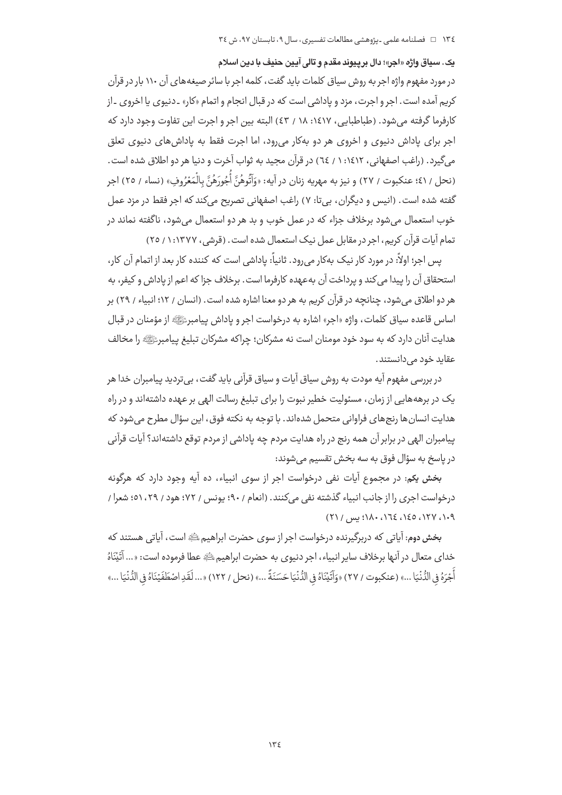يک. سياق واژه «اجر»؛ دال برييوند مقدم و تالي آيين حنيف با دين اسلام

در مورد مفهوم واژه اجر به روش سیاق کلمات باید گفت، کلمه اجر با سائر صیغههای آن ۱۱۰ بار در قرآن کريم آمده است. اجر و اجرت، مزد و ياداشي است که در قبال انجام و اتمام «کار» ـ دنيوي يا اخروي ـ از کارفرما گرفته می شود. (طباطبایی، ۱٤١٧: ۱۸ / ٤٣) البته بین اجر و اجرت این تفاوت وجود دارد که اجر برای یاداش دنیوی و اخروی هر دو بهکار می رود، اما اجرت فقط به یاداش های دنیوی تعلق مي گيرد. (راغب اصفهاني، ١٤١٢: ١ / ٦٤) در قرآن محيد به ثواب آخرت و دنيا هر دو اطلاق شده است. (نحل / ٤١؛ عنكبوت / ٢٧ ) و نيز به مهريه زنان در آيه: «وَأَتُوهُنَّ أَجُورَهُنَّ بِالْمَعْرُوفِ» (نساء / ٢٥) اجر گفته شده است. (انیس و دیگران، بیتا: ۷) راغب اصفهانی تصریح میکند که اجر فقط در مزد عمل خوب استعمال می شود برخلاف جزاء که در عمل خوب و بد هر دو استعمال می شود، ناگفته نماند در تمام آیات قرآن کریم، اجر در مقابل عمل نیک استعمال شده است. (قرشی، ۱۳۷۷: ۱/ ۲٥)

پس اجر؛ اولاً: در مورد کار نیک بهکار می(ود. ثانیاً: پاداشی است که کننده کار بعد از اتمام آن کار، استحقاق آن را پیدا می کند و پرداخت آن به عهده کارفرما است . برخلاف جزا که اعم از یاداش و کیفر، به هر دو اطلاق می شود، چنانچه در قرآن کریم به هر دو معنا اشاره شده است. (انسان / ۱۲؛ انبیاء / ۲۹) بر اساس قاعده سياق كلمات، واژه «اجر» اشاره به درخواست اجر و ياداش پيامبرﷺ از مؤمنان در قبال هدایت آنان دارد که به سود خود مومنان است نه مشرکان؛ چراکه مشرکان تبلیغ پیامبرﷺ را مخالف عقاید خود مے دانستند .

در بررسی مفهوم آیه مودت به روش سیاق آیات و سیاق قرآنی باید گفت، بیتردید پیامبران خدا هر یک در برهههایی از زمان، مسئولیت خطیر نبوت را برای تبلیغ رسالت الهی بر عهده داشتهاند و در راه هدایت انسان ها رنجهای فراوانی متحمل شدهاند. با توجه به نکته فوق، این سؤال مطرح می شود که پیامبران الهی در برابر آن همه رنج در راه هدایت مردم چه یاداشی از مردم توقع داشتهاند؟ آیات قرآنی در ياسخ به سؤال فوق به سه بخش تقسيم مي شوند:

بخش یکم: در مجموع آیات نفی درخواست اجر از سوی انبیاء، ده آیه وجود دارد که هرگونه درخواست اجرى را از جانب انبياء گذشته نفى مى كنند. (انعام / ٩٠؛ يونس / ٧٢؛ هود / ٢٩، ٥١: شعرا /  $(Y) /$  (x) (x) (x) (x) (x) (x) (x) (x) (x)

بخش دوم: آیاتی که دربرگیرنده درخواست اجر از سوی حضرت ابراهیم ﷺ است، آیاتی هستند که خداي متعال در آنها برخلاف ساير انبياء، اجر دنيوي به حضرت ابراهيم ﷺ عطا فرموده است: «... آتَيْنَاهُ .<br>أَجَرَهُ في الدُّنْيَا ...» (عنكبوت / ٢٧) «وَآتَيْنَاهُ في الدُّنْيَا حَسَنَةً ...» (نحل / ١٢٢) «... لَقَدِ اصْطَفَيْنَاهُ في الدُّنْيَا ...»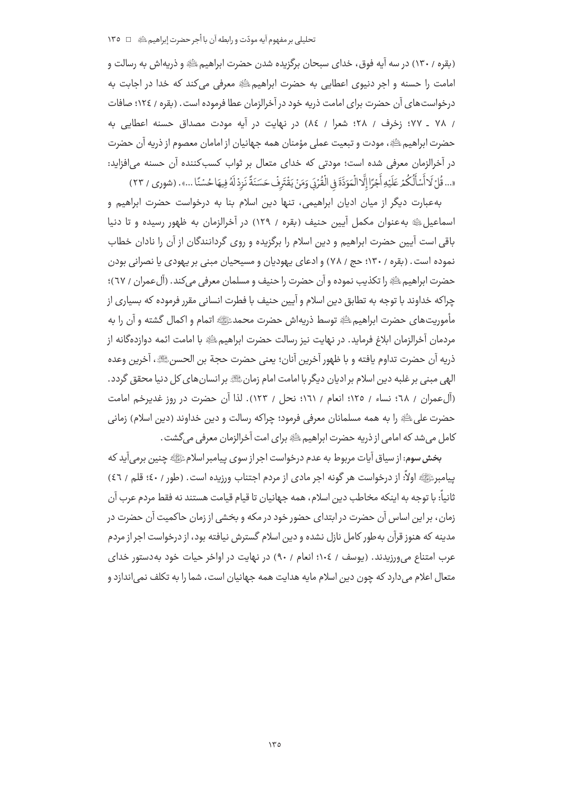(بقره / ١٣٠) در سه آيه فوق، خداي سبحان برگزيده شدن حضرت ابراهيم ﷺ و ذريهاش به رسالت و امامت را حسنه و اجر دنیوی اعطایی به حضرت ابراهیم الله معرفی می کند که خدا در اجابت به درخواست های آن حضرت برای امامت ذریه خود در آخرالزمان عطا فرموده است. (بقره / ١٢٤؛ صافات / ٧٨ ـ ٧٧؛ زخرف / ٢٨؛ شعرا / ٨٤) در نهايت در آيه مودت مصداق حسنه اعطايي به حضرت ابراهیم ﷺ، مودت و تبعیت عملی مؤمنان همه جهانیان از امامان معصوم از ذریه آن حضرت در آخرالزمان معرفی شده است؛ مودتی که خدای متعال بر ثواب کسبکننده آن حسنه می|فزاید: «... قُلْ لَا أَسْأَلُكُمْ عَلَيْهِ أَجْرًا إِلَّا الْمَوَدَّةَ فِى الْقُرْبَى وَمَنْ يَقْتَرِفْ حَسَنَةً نَزِدْ لَهُ فِيهَا حُسْنًا ...» . (شورى / ٢٣)

بهعبارت دیگر از میان ادیان ابراهیمی، تنها دین اسلام بنا به درخواست حضرت ابراهیم و اسماعیل ﷺ به عنوان مکمل آیین حنیف (بقره / ١٢٩) در آخرالزمان به ظهور رسیده و تا دنیا باقی است آیین حضرت ابراهیم و دین اسلام را برگزیده و روی گردانندگان از آن را نادان خطاب نموده است. (بقره / ۱۳۰؛ حج / ۷۸) و ادعای یهودیان و مسیحیان مبنی بر یهودی یا نصرانی بودن حضرت ابراهيم ﷺ را تكذيب نموده و آن حضرت را حنيف و مسلمان معرفي ميكند. (آلءمران / ٦٧)؛ چراکه خداوند با توجه به تطابق دین اسلام و آیین حنیف با فطرت انسانی مقرر فرموده که بسیاری از مأموريت هاي حضرت ابراهيم ﷺ توسط ذريه اش حضرت محمدﷺ اتمام و اكمال گشته و آن را به مردمان آخرالزمان ابلاغ فرمايد. در نهايت نيز رسالت حضرت ابراهيم ﷺ با امامت ائمه دوازدهگانه از ذريه آن حضرت تداوم يافته و با ظهور آخرين آنان؛ يعني حضرت حجة بن الحسنﷺ، آخرين وعده الهی مبنی بر غلبه دین اسلام بر ادیان دیگر با امامت امام زمانﷺ بر انسان های کل دنیا محقق گردد. (آل عمران / ٦٨؛ نساء / ١٢٥؛ انعام / ١٦١؛ نحل / ١٢٣). لذا آن حضرت در روز غديرخم امامت حضرت على ﷺ را به همه مسلمانان معرفي فرمود؛ چراكه رسالت و دين خداوند (دين اسلام) زماني كامل مي شد كه امامي از ذريه حضرت ابراهيم عليه براي امت آخرالزمان معرفي مي گشت .

بخش سوم: از سیاق آیات مربوط به عدم درخواست اجر از سوی پیامبر اسلامﷺ چنین برمیآید که پیامبرﷺ اولاً: از درخواست هر گونه اجر مادی از مردم اجتناب ورزیده است. (طور / ٤٠؛ قلم / ٤٦) ثانياً: با توجه به اينكه مخاطب دين اسلام، همه جهانيان تا قيام قيامت هستند نه فقط مردم عرب آن زمان، براین اساس آن حضرت در ابتدای حضور خود در مکه و بخشی از زمان حاکمیت آن حضرت در مدینه که هنوز قرآن به طور کامل نازل نشده و دین اسلام گسترش نیافته بود، از درخواست اجر از مردم عرب امتناع می ورزیدند. (یوسف / ١٠٤؛ انعام / ٩٠) در نهایت در اواخر حیات خود به دستور خدای متعال اعلام می دارد که چون دین اسلام مایه هدایت همه جهانیان است، شما را به تکلف نمی اندازد و

 $140$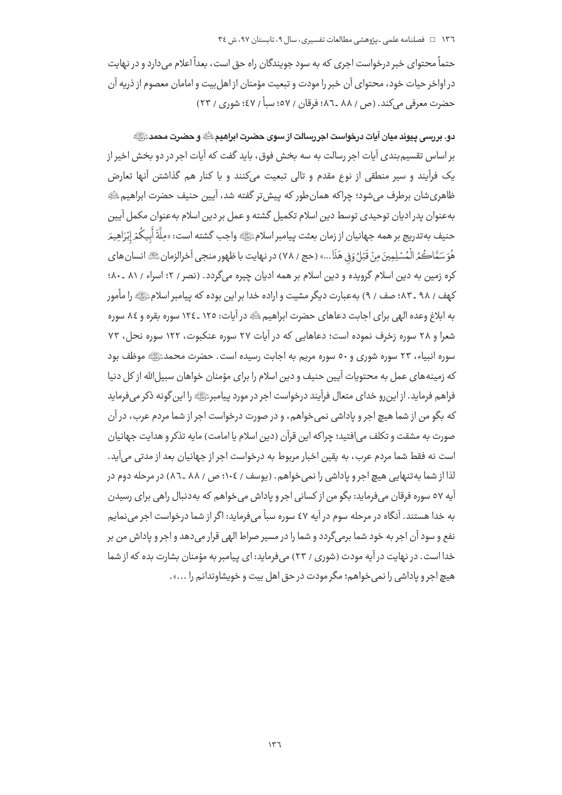حتماً محتوای خبر درخواست احری که به سود جویندگان راه چق است، بعداً اعلام می دارد و در نهایت در اواخر حيات خود، محتواي آن خبر را مودت و تبعيت مؤمنان از اهل بيت و امامان معصوم از ذريه آن حضرت معرفي مركند. (ص / ٨٨ \_٨٦؛ فرقان / ٥٧؛ يسأ / ٤٧؛ شوري / ٢٣)

دو. دررسی پیوند میان آبات درخواست اجر رسالت از سوی حضرت ابراهیمﷺ و حضرت محمدﷺ بر اساس تقسیم بندی آبات اجر رسالت به سه بخش فوق، باید گفت که آبات اجر در دو بخش اخیر از یک فرآیند و سیر منطقی از نوع مقدم و تالی تبعیت میکنند و با کنار هم گذاشتن آنها تعارض ظاهري شان برطرف مي شود؛ چراكه همان طور كه پيش تر گفته شد، آپين حنيف حضرت ابراهيم ﷺ بهعنوان يدر اديان توحيدي توسط دين اسلام تكميل گشته و عمل بر دين اسلام بهعنوان مكمل آيين حنيف به تدريج بر همه جهانيان از زمان بعثت ييامبر اسلامﷺ واجب گشته است: «ملَّةَ أَبِيكُمْ إِبْرَاهِيمَر هُوَ سَمَّاكُمُ الْمُسْلِمِينَ مِنْ قَبْلُ وَفِي هَذَا...» (حج / ٧٨) در نهايت با ظهور منجي آخرالزمان ﷺ انسان هاي کړه زمین په دین اسلام گرویده و دین اسلام پر همه ادبان چیره می گردد. (نصر / ۲؛ اسراء / ۸۱ ـ ۸۰؛ کهف / ۹۸ ـ ۸۳. صف / ۹) به عبارت دیگر مشیت و اراده خدا بر این بوده که پیامبر اسلامﷺ را مأمور په ابلاغ وعده الهي براي احايت دعاهاي حضرت ابراهيم ﷺ در آيات: ١٢٥ ـ ١٢٤ سوره يقره و ٨٤ سوره شعرا و ۲۸ سوره زخرف نموده است؛ دعاهایی که در آیات ۲۷ سوره عنکبوت، ۱۲۲ سوره نحل، ۷۳ سوره انبیاء، ۲۳ سوره شوری و ۵۰ سوره مریم به اجابت رسیده است. حضرت محمدﷺ موظف بود که زمینههای عمل به محتویات آیین حنیف و دین اسلام را برای مؤمنان خواهان سبیل الله از کل دنیا فراهم فرماید. از این رو خدای متعال فرآیند درخواست اجر در مورد پیامبرﷺ را این گونه ذکر می فرماید که بگو من از شما هیچ اجر و یاداشی نمی خواهم، و در صورت درخواست اجر از شما مردم عرب، در آن صورت به مشقت و تكلف مى افتيد؛ چراكه اين قرآن (دين اسلام يا امامت) مايه تذكر و هدايت جهانيان .<br>است نه فقط شما مردم عرب، به یقین اخبار مربوط به درخواست اجر از جهانیان بعد از مدتی می آید. .<br>لذا از شما به تنهایی هیچ اجر و یاداشی را نمی خواهم . (یوسف / ١٠٤؛ ص / ٨٨ ـ٨٦) در مرحله دوم در آيه ٥٧ سوره فرقان مي فرمايد: بگو من از كساني اجر و ياداش مي خواهم كه به دنبال راهي براي رسيدن به خدا هستند. آنگاه در مرحله سوم در آیه ٤٧ سوره سبأ می فرماید: اگر از شما درخواست اجر می نمایم نفع و سود آن اجر به خود شما برمی گردد و شما را در مسیر صراط الهی قرار می دهد و اجر و یاداش من بر خدا است. در نهایت در آیه مودت (شوری / ۲۳) می فرماید: ای پیامبر به مؤمنان بشارت بده که از شما هيچ اجر و باداشي را نمي خواهم؛ مگر مودت در چق اهل بيت و خويشاوندانم را ...».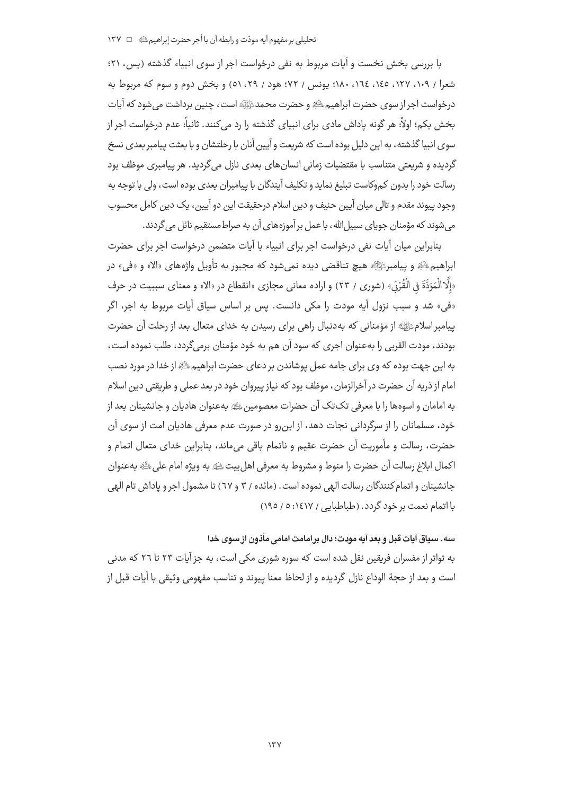با بررسی بخش نخست و آیات مربوط به نفی درخواست اجر از سوی انبیاء گذشته (پس، ۲۱؛ شعراً / ١٠٩، ١٢٧، ١٤٥، ١٦٤، ١٨٠؛ يونس / ٧٢؛ هود / ٢٩، ٥١) و بخش دوم و سوم كه مربوط به درخواست اجر از سوی حضرت ابراهیم ﷺ و حضرت محمدﷺ است، چنین برداشت می شود که آیات بخش یکم؛ اولاً: هر گونه یاداش مادی برای انبیای گذشته را رد می کنند. ثانیاً: عدم درخواست اجر از سوی انبیا گذشته ، به این دلیل بوده است که شریعت و آپین آنان با رحلتشان و با بعثت پیامبر بعدی نسخ گردیده و شریعتی متناسب با مقتضیات زمانی انسانهای بعدی نازل می گردید. هر پیامبری موظف بود رسالت خود را بدون کموکاست تبلیغ نماید و تکلیف آیندگان با پیامبران بعدی بوده است، ولی با توجه به وجود پیوند مقدم و تالی میان آیین حنیف و دین اسلام درحقیقت این دو آیین، یک دین کامل محسوب می شوند که مؤمنان جویای سبیل الله، با عمل بر آموزههای آن به صراط مستقیم نائل می گردند.

بنابراین میان آیات نفی درخواست اجر برای انبیاء با آیات متضمن درخواست اجر برای حضرت ابراهيمﷺ و پيامبرﷺ هيچ تناقضي ديده نمي شود كه مجبور به تأويل واژههاي «الا» و «في» در «إِلَّالْمَوَدَّةَ فِي الْقُرْدَ» (شوري / ٢٣) و اراده معاني مجازي «انقطاع در «الا» و معناي سببيت در حرف «في» شد و سبب نزول آيه مودت را مكي دانست. پس بر اساس سياق آيات مربوط به اجر، اگر پیامبر اسلامﷺ از مؤمنانی که بهدنبال راهی برای رسیدن به خدای متعال بعد از رحلت آن حضرت بودند، مودت القربي را بهعنوان اچري كه سود آن هم به خود مؤمنان برمي۶گردد، طلب نموده است، به این جهت بوده که وی برای جامه عمل پوشاندن بر دعای حضرت ابراهیم ﷺ از خدا در مورد نصب امام از ذریه آن حضرت در آخرالزمان، موظف بود که نیاز پیروان خود در بعد عملی و طریقتی دین اسلام به امامان و اسوهها را با معرفی تک تک آن حضرات معصومین ﷺ به عنوان هادیان و جانشینان بعد از خود، مسلمانان را از سرگردانی نجات دهد، از این,رو در صورت عدم معرفی هادیان امت از سوی آن حضرت، رسالت و مأموريت آن حضرت عقيم و ناتمام باقي ميءاند، بنابراين خداي متعال اتمام و اكمال ابلاغ رسالت آن حضرت را منوط و مشروط به معرفي اهل بيت ﷺ به ويژه امام على ﷺ به عنوان جانشینان و اتمام کنندگان رسالت الهی نموده است . (مائده / ۳ و ٦٧) تا مشمول اجر و یاداش تام الهی با اتمام نعمت بر خود گردد. (طباطبایی / ۱٤١٧: ٥ / ١٩٥)

## سه. سياق آيات قبل و بعد آيه مودت؛ دال برامامت امامي مأذون از سوى خدا

به تواتر از مفسران فریقین نقل شده است که سوره شوری مکی است، به جز آیات ۲۳ تا ۲۲ که مدنی است و بعد از حجة الوداع نازل گردیده و از لحاظ معنا پیوند و تناسب مفهومی وثیقی با آیات قبل از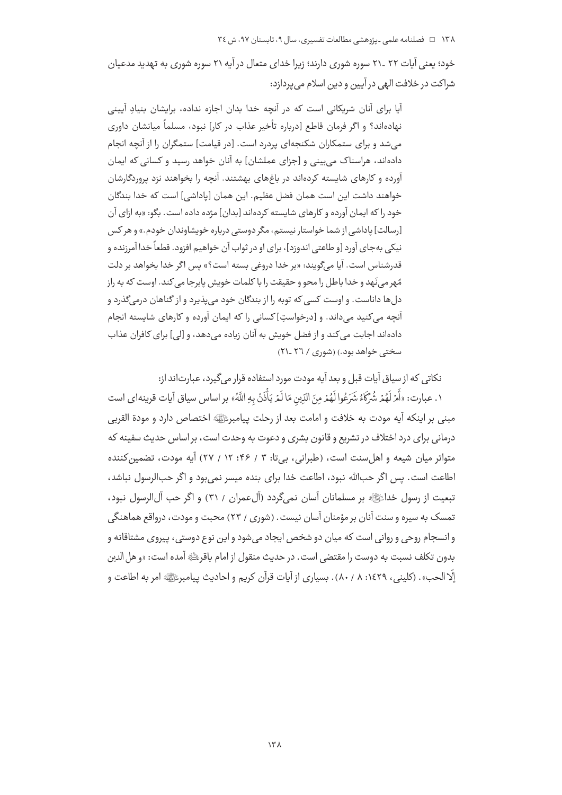خود؛ یعنی آیات ۲۲ ـ ۲۱ سوره شوری دارند؛ زیرا خدای متعال در آیه ۲۱ سوره شوری به تهدید مدعیان شراکت در خلافت الهی در آیین و دین اسلام می پردازد:

آیا برای آنان شریکانی است که در آنچه خدا بدان اجازه نداده، برایشان بنیادِ آیینی نهادهاند؟ و اگر فرمان قاطع [درباره تأخیر عذاب در کار] نبود، مسلماً میانشان داوری می شد و برای ستمکاران شکنجهای پردرد است. [در قیامت] ستمگران را از آنچه انجام دادهاند، هراسناک می بینی و [جزای عملشان] به آنان خواهد رسید و کسانی که ایمان آورده و کارهای شایسته کردهاند در باغهای بهشتند. آنچه را بخواهند نزد پروردگارشان خواهند داشت این است همان فضل عظیم. این همان [یاداشی] است که خدا بندگان خود را که ایمان آورده و کارهای شایسته کردهاند [بدان] مژده داده است. بگو: «به ازای آن [رسالت] یاداشی از شما خواستار نیستم، مگر دوستی درباره خویشاوندان خودم.» و هر کس نيکي بهجاي آورد [و طاعتي اندوزد]، براي او در ثواب آن خواهيم افزود. قطعاً خدا آمرزنده و قدرشناس است. آبا مرگویند: «بر خدا دروغر بسته است؟» پس اگر خدا بخواهد بر دلت مُهر مي نَهد و خدا باطل را محو و حقيقت را با كلمات خويش يابرجا مي كند. اوست كه به راز دل ها داناست. و اوست کسی که توبه را از بندگان خود می پذیرد و از گناهان درمی گذرد و آنحه می کنید می داند. و [درخواست] کسانی را که ایمان آورده و کارهای شایسته انجام دادهاند اجابت میکند و از فضل خویش به آنان زیاده میدهد، و [لی] برای کافران عذاب سختی خواهد بود.) (شوری / ۲٦ ـ۲۱)

نكاتي كه از سياق آيات قبل و بعد آيه مودت مورد استفاده قرار مي گيرد، عبارتاند از:

١. عبارت: «أَمْ لَهُمْ شُرَّكَهُ شَرَعُوا لَهُمْ مِنَ الَّذِينِ مَا لَمْ يَأْذَنْ بِهِ اللَّهُ» بر اساس سياق آيات قرينهاي است مبنى بر اينكه آيه مودت به خلافت و امامت بعد از رحلت پيامبرﷺ اختصاص دارد و مودة القربي درمانی برای درد اختلاف در تشریع و قانون بشری و دعوت به وحدت است، بر اساس حدیث سفینه که متواتر میان شیعه و اهل سنت است، (طبرانی، بیتا: ۳ / ۴۶؛ ۱۲ / ۲۷) آیه مودت، تضمین کننده اطاعت است. پس اگر حبالله نبود، اطاعت خدا برای بنده میسر نمی بود و اگر حبالرسول نباشد، تبعيت از رسول خداءًﷺ بر مسلمانان آسان نمي گردد (آلءمران / ٣١) و اگر حب آل|لرسول نبود، تمسک به سیره و سنت آنان بر مؤمنان آسان نیست. (شوری / ۲۳) محبت و مودت، درواقع هماهنگی و انسجام روحی و روانی است که میان دو شخص ایجاد می شود و این نوع دوستی، پیروی مشتاقانه و بدون تكلف نسبت به دوست را مقتضى است. در حديث منقول از امام باقرئيه آمده است: «و هل الدين إلَّا الحب». (كليني، ١٤٢٩: ٨٠ / ٨٠). يسباري از آيات قرآن كريم و احاديث بيامبرﷺ امر به اطاعت و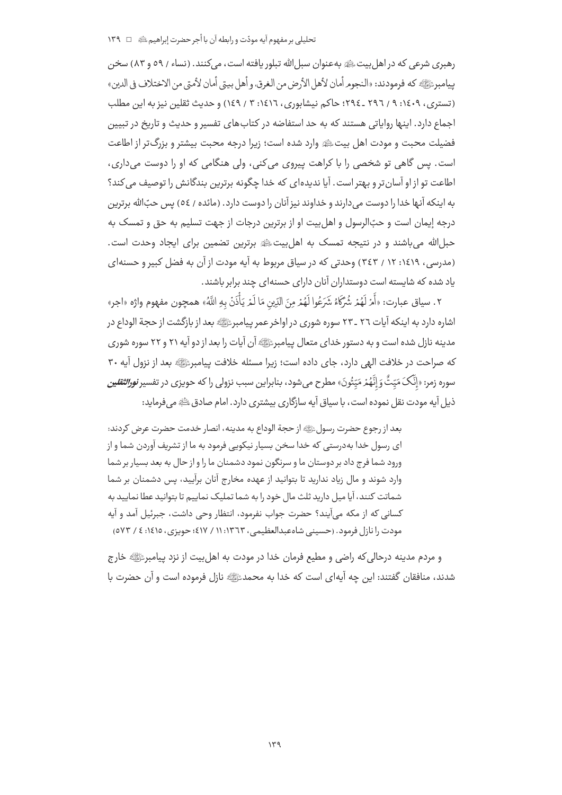## تحليلي پر مفهوم آيه مودّت و رابطه آن يا أجر حضرت إبراهيم ﷺ △ 1 ١٣٩

رهبري شرعي كه در اهل بيت ﷺ به عنوان سيل الله تبلور بافته است، مي كنند. (نساء / ٥٩ و ٨٣) سخن بيامبرﷺ كه فرمودند: «النجوم أمان لأهل الأرض من الغرق، و أهل بيتي أمان لأمتى من الاختلاف في الدين» (تستری، ۱٤٠٩؛ ۹ / ٢٩٦ ـ ٢٩٤؛ حاکم نیشابوری، ١٤١٦؛ ٣ / ١٤٩) و حدیث ثقلین نیز به این مطلب اجماع دارد. اینها روایاتی هستند که به حد استفاضه در کتابهای تفسیر و حدیث و تاریخ در تبیین .<br>فضیلت محبت و مودت اهل بیتﷺ وارد شده است؛ زیرا درجه محبت بیشتر و بزرگ¤ر از اطاعت است. پس گاهی تو شخصی را با کراهت پیروی می کنی، ولی هنگامی که او را دوست می داری، اطاعت تو از او آسان تر و بهتر است . آیا ندیدهای که خدا چگونه برترین بندگانش را توصیف میکند؟ به اینکه آنها خدا را دوست می دارند و خداوند نیز آنان را دوست دارد. (مائده / ٥٤) پس حبِّالله برترین درجه إيمان است و حبِّالرسول و اهل بيت او از برترين درجات از جهت تسليم به حق و تمسک به حبل الله می باشند و در نتیجه تمسک به اهل بیت ﷺ برترین تضمین برای ایجاد وحدت است. (مدرسی، ۱۶۱۹: ۱۲ / ۳٤۳) وحدتی که در سیاق مربوط به آیه مودت از آن به فضل کبیر و حسنهای یاد شده که شایسته است دوستداران آنان دارای حسنهای چند برابر باشند.

٢. سياق عبارت: «أَمْ لَهُمْ شُرَّكَهُ شَرَعُوا لَهُمْ مِنَ الدِّين مَا لَمْ يَأْذَنْ بِهِ اللَّهُ» همچون مفهوم واژه «اجر» اشاره دارد به اینکه آیات ٢٦ ـ ٢٣ سوره شوری در اواخر عمر پیامبرﷺ بعد از بازگشت از حجة الوداع در مدینه نازل شده است و به دستور خدای متعال پیامبرﷺ آن آیات را بعد از دو آیه ۲۱ و ۲۲ سوره شوری كه صراحت در خلافت الهي دارد، جاي داده است؛ زيرا مسئله خلافت پيامبرﷺ بعد از نزول آيه ٣٠ سوره زمر: «إِنَّکَ مَیّتُّ وَ إِنَّهُمْ مَیّتُونَ» مطرح می شود، بنابراین سبب نزولی را که حویزی در تفسیر *نورالثقلین* ذیل آیه مودت نقل نموده است، با سیاق آیه سازگاری بیشتری دارد. امام صادق ﷺ می فرماید:

بعد از رجوع حضرت رسولﷺ از حجة الوداع به مدينه، انصار خدمت حضرت عرض كردند: ای رسول خدا بهدرستی که خدا سخن بسیار نیکویی فرمود به ما از تشریف آوردن شما و از ورود شما فرج داد بر دوستان ما و سرنگون نمود دشمنان ما را و از حال به بعد بسیار بر شما وارد شوند و مال زیاد ندارید تا بتوانید از عهده مخارج آنان برآیید، پس دشمنان بر شما شماتت کنند، آیا میل دارید ثلث مال خود را به شما تملیک نماییم تا بتوانید عطا نمایید به كساني كه از مكه مي]يند؟ حضرت جواب نفرمود، انتظار وحي داشت، جبرئيل آمد و آيه مودت را نازل فرمود. (حسینی شاه عبدالعظیمی، ۱۳٦۳: ۱۱ / ۱۷٪؛ حویزی، ۱٤١٥: ٤ / ٥٧٣)

و مردم مدینه درحالی که راضی و مطیع فرمان خدا در مودت به اهل بیت از نزد پیامبرﷺ خارج شدند، منافقان گفتند: این چه آیهای است که خدا به محمدﷺ نازل فرموده است و آن حضرت با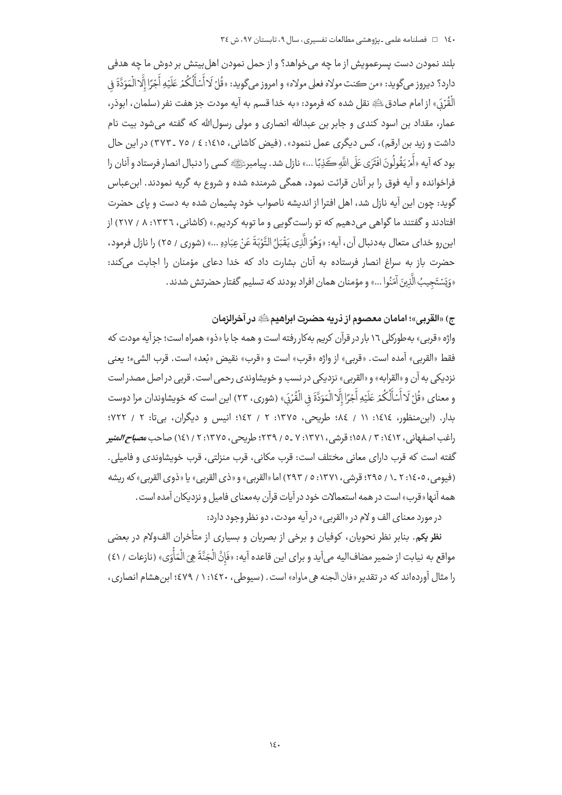بلند نمودن دست پسرعمويش از ما چه مي خواهد؟ و از حمل نمودن اهل بيتش بر دوش ما چه هدفي دارد؟ ديروز مي گويد: «من ڪنت مولاه فعلي مولاه» و امروز مي گويد: «قُلْ لَا أَسْأَلُكُمْ عَلَيْهِ أَجْرًا إِلَّا الْمَوَدَّةَ فِي الْقُرَىٰ» از امام صادق ﷺ نقل شده که فرمود: «به خدا قسم به آیه مودت جز هفت نفر (سلمان، ابوذر، عمار، مقداد بن اسود کندی و جابر بن عبدالله انصاری و مولی رسولالله که گفته می شود بیت نام داشت و زید بن ارقم)، کس دیگری عمل ننمود». (فیض کاشانی، ۱٤١٥: ٤ / ٢٥ ـ ٣٧٣) در این حال بود كه آيه «أَمْ يَقُولُونَ افْتَرَى عَلَى اللَّه كَذِبًا ...» نازل شد. پيامبرﷺ» كسى را دنبال انصار فرستاد و آنان را .<br>فراخوانده و آیه فوق را بر آنان قرائت نمود، همگی شرمنده شده و شروع به گریه نمودند. ابن *ع*باس گوید: چون این آیه نازل شد، اهل افترا از اندیشه ناصواب خود پشیمان شده به دست و پای حضرت افتادند و گفتند ما گواهی می دهیم که تو راست گویی و ما توبه کردیم.» (کاشانی، ۱۳۳۲: ۸ / ۲۱۷) از اين رو خداي متعال بهدنبال آن، آيه: «وَهُوَ الَّذِي يَقْبَلُ التَّوْبَةَ عَنْ عِبَادِهِ ...» (شورى / ٢٥) را نازل فرمود، حضرت باز به سراغ انصار فرستاده به آنان بشارت داد که خدا دعای مؤمنان را اجابت میکند: «وَيَسْتَجِيبُ الَّذِينَ آمَنُوا ...» و مؤمنان همان افراد بودند كه تسليم گفتار حضرتش شدند.

# ج) «القربي»؛ امامان معصوم از ذريه حضرت ابراهيم ﷺ در آخرالزمان

واژه «قربي» به طوركلي ١٦ بار در قرآن كربۍ بهكار رفته است و همه جا با «ذو» همراه است؛ جز آبه مودت كه فقط «القربي» آمده است. «قربي» از واژه «قرب» است و «قرب» نقيض «بُعد» است. قرب الشيء؛ يعني نزدیکے ، به آن و «القرابه» و «القربے » نزدیکے ، در نسب و خویشاوندی رحمے است . قربے در اصل مصدر است و معناي «قُلْ لَا أَسْأَلُكُمْ عَلَيْهِ أَجْرًا إِلَّا الْمَوَدَّةَ فِي الْقُرْدَ» (شورى، ٢٣) اين است كه خويشاوندان مرا دوست بدار. (ابن منظور، ١٤١٤: ١١ / ٨٤؛ طريحي، ١٣٧٥: ٢ / ١٤٢؛ انيس و ديگران، بي تا: ٢ / ٧٢٢؛ راغب اصفهاني، ١٤١٢: ٣ / ١٥٨؛ قرشي، ٧:١٣٧١ \_٥ / ٢٣٩؛ طريحي، ١٣٧٥: ٢ / ١٤١) صاحب م*صباح المنيو* گفته است که قرب دارای معانی مختلف است: قرب مکانی، قرب منزلتی، قرب خویشاوندی و فامیلی. (فيومي، ١٤٠٥: ٢ \_١ / ٢٩٥؛ قرشي، ١٣٧١: ٥ / ٢٩٣) اما «القربي» و «ذي القربي» يا «ذوي القربي» كه ريشه همه آنها «قرب» است در همه استعمالات خود در آیات قرآن بهمعنای فامیل و نزدیکان آمده است.

در مورد معناي الف و لام در «القربي» در آيه مودت، دو نظر وجود دارد:

**نظریکم.** بنابر نظر نحویان، کوفیان و برخی از بصریان و بسیاری از متأخران الف6لام در بعضی مواقع به نيابت از ضمير مضاف|ليه ميآيد و براي اين قاعده آيه: «فَإِنَّ الْجَنَّةَ هِيَ الْمَأْوَى» (نازعات / ٤١) را مثال آوردهاند که در تقدیر «فان الجنه هی ماواه» است. (سیوطی، ۱٤۲۰: ۱ / ٤٧٩؛ ابن هشام انصاری،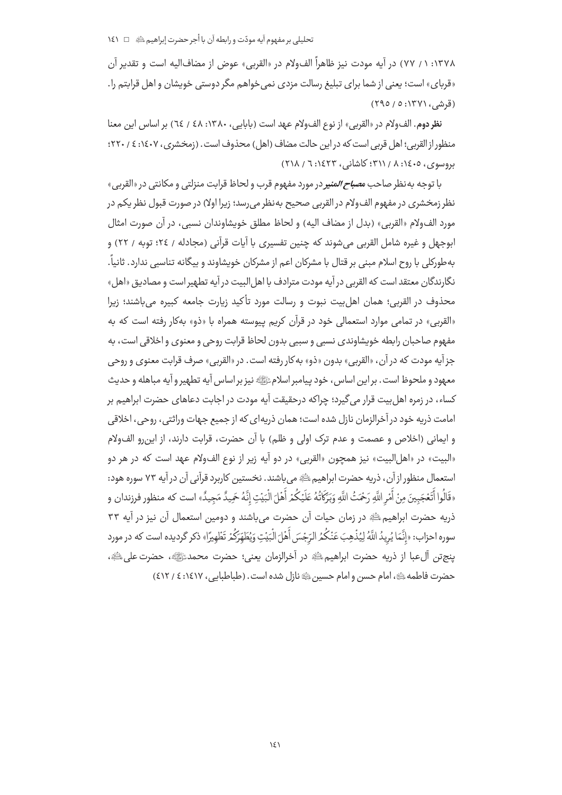۱۳۷۸: ۱ / ۷۷) در آیه مودت نیز ظاهراً الفولام در «القربی» عوض از مضاف|لیه است و تقدیر آن «قربای» است؛ یعنی از شما برای تبلیغ رسالت مزدی نمی خواهم مگر دوستی خویشان و اهل قرابتم را. (قرشی، ۱۳۷۱: ۵ / ۲۹۵)

نظر دوم. الف6لام در «القربي» از نوع الف6لام عهد است (بابايي، ١٣٨٠: ٤٨ / ٦٤) بر اساس اين معنا منظور از القربي؛ اهل قربي است كه در اين حالت مضاف (اهل) محذوف است. (زمخشري، ١٤٠٧؛ ٤ / ٢٢٠؛  $(51)$  بروسوی، ۱٤٠٥: ۸ / ۳۱۱: کاشانی، ۱٤٢٣: ٦ / ۲۱۸)

با توجه به نظر صاحب *مصباح المنير* در مورد مفهوم قرب و لحاظ قرابت منزلتي و مكانتي در «القربي» نظر زمخشري در مفهوم الف6لام در القربي صحيح بهنظر مي رسد؛ زيرا اولا) در صورت قبول نظر يكم در مورد الفولام «القربي» (بدل از مضاف البه) و لحاظ مطلق خوبشاوندان نسبي، در آن صورت امثال ابوجهل و غيره شامل القربي مي شوند كه چنين تفسيري با آيات قرآني (مجادله / ٢٤؛ توبه / ٢٢) و به طورکلی با روح اسلام مبنی بر قتال با مشرکان اعم از مشرکان خویشاوند و بیگانه تناسبی ندارد. ثانیاً. نگارندگان معتقد است كه القربي در آيه مودت مترادف با اهل البيت در آيه تطهير است و مصاديق «اهل» محذوف در القربي؛ همان اهل بيت نبوت و رسالت مورد تأكيد زيارت جامعه كبيره مي باشند؛ زيرا «القربی» در تمامی موارد استعمالی خود در قرآن کریم پیوسته همراه با «ذو» بهکار رفته است که به مفهوم صاحبان رابطه خويشاوندي نسبي و سببي بدون لحاظ قرابت روحي و معنوي و اخلاقي است، به جزآيه مودت كه در آن، «القربي» بدون «ذو» به كار رفته است. در «القربي» صرف قرابت معنوى و روحي معهود و ملحوظ است . بر اين اساس ، خود پيامبر اسلامﷺ نيز بر اساس آيه تطهير و آيه مباهله و حديث کساء، در زمره اهل بیت قرار می گیرد؛ حراکه درجقیقت آیه مودت در اجایت دعاهای حضرت ایراهیم پر امامت ذریه خود در آخرالزمان نازل شده است؛ همان ذریهای که از جمیع جهات وراثتی، روحی، اخلاقی و ايماني (اخلاص و عصمت و عدم ترک اولى و ظلم) با آن حضرت، قرابت دارند، از اين,رو الفولام «البيت» در «اهل|لبيت» نيز همچون «القربي» در دو آيه زير از نوع الفولام عهد است كه در هر دو استعمال منظور از آن، ذریه حضرت ابراهیمﷺ می باشند. نخستین کاربرد قرآنی آن در آیه ۷۳ سوره هود: «قَالُوا أَتَعْجَبِينَ منْ أَمْرِ اللَّهِ رَحْمَتُ اللَّهِ وَبَرَكَاتُهُ عَلَيْكُمْ أَهْلَ الْبَيْت إنَّهُ حَميدٌ مَجيدٌ» است كه منظور فرزندان و ذریه حضرت ابراهیم ﷺ در زمان حیات آن حضرت می باشند و دومین استعمال آن نیز در آیه ۳۳ سوره احزاب: «إِنَّمَا يُرِيدُ اللَّهُ لِيُذْهِبَ عَنْكُمُ الرّجْسَ أَهْلَ الْبَيْتِ وَيُطَهّرَكُمْ تَظْهيرًا» ذكر گرديده است كه در مورد ينج تن آلءبا از ذريه حضرت ابراهيم؛ ﷺ در آخرالزمان يعني؛ حضرت محمدﷺ، حضرت على ﷺ، حضرت فاطمه الله عليه، امام حسن و امام حسين الله عنازل شده است. (طباطبابي، ١٤١٧: ٤ / ٤١٢)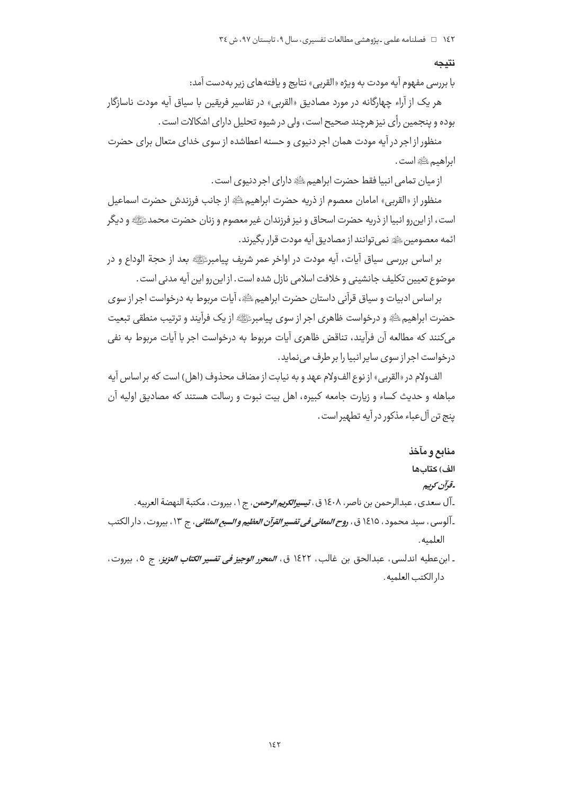#### نتىحە

با بررسی مفهوم آیه مودت به ویژه «القربی» نتایج و یافتههای زیر بهدست آمد:

هر یک از آراء چهارگانه در مورد مصادیق «القربی» در تفاسیر فریقین با سیاق آیه مودت ناسازگار بوده و پنجمین رأی نیز هرچند صحیح است، ولی در شیوه تحلیل دارای اشکالات است .

منظور از اجر در آیه مودت همان اجر دنیوی و حسنه اعطاشده از سوی خدای متعال برای حضرت ابراهيم علقيَّةِ است .

از ميان تمامي انبيا فقط حضرت ابراهيم ﷺ داراي اجر دنيوي است.

منظور از «القربي» امامان معصوم از ذريه حضرت ابراهيمﷺ از جانب فرزندش حضرت اسماعيل است، از این,رو انبیا از ذریه حضرت اسحاق و نیز فرزندان غیر معصوم و زنان حضرت محمدﷺ و دیگر ائمه معصومین ﷺ نمی توانند از مصادیق آیه مودت قرار بگیرند.

بر اساس بررسی سیاق آیات، آیه مودت در اواخر عمر شریف پیامبرﷺ بعد از حجة الوداع و در موضوع تعيين تكليف جانشيني و خلافت اسلامي نازل شده است. از اين رو اين آيه مدني است.

بر اساس ادبیات و سیاق قرآنی داستان حضرت ابراهیم ﷺ، آیات مربوط به درخواست اجر از سوی حضرت ابراهیم ﷺ و درخواست ظاهری اجر از سوی پیامبرﷺ از یک فرآیند و ترتیب منطقی تبعیت می کنند که مطالعه آن فرآیند، تناقض ظاهری آیات مربوط به درخواست اجر با آیات مربوط به نفی درخواست اجر از سوی سایر انبیا را بر طرف می نماید.

الفولام در «القربي» از نوع الفولام عهد و به نيابت از مضاف محذوف (اهل) است كه بر اساس آيه مباهله و حدیث کساء و زیارت جامعه کبیره، اهل بیت نبوت و رسالت هستند که مصادیق اولیه آن بنج تن آل عباء مذکور در آبه تطهیر است .

#### منابع و مآخذ

## الف) كتابها

# -قرآن كريم

ـ آل سعدي ، عبدالرحمن بن ناصر ، ١٤٠٨ ق *، تيسيرالكريم الرحمن* ، ج ١ ، بيروت ، مكتبة النهضة العربيه . ـ آلوسي ، سيد محمود ، ١٤١٥ ق ، ر*وح المعاني في تفسير القرآن العظيم و السبع المثاني* ، ج ١٣ ، بيروت ، دار الكتب العلميه.

ـ ابنعطيه اندلسي، عبدالحق بن غالب، ١٤٢٢ ق، *المحرر الوجيز في تفسير الكتاب العزيز*، ج ٥، بيروت، دار الكتب العلميه.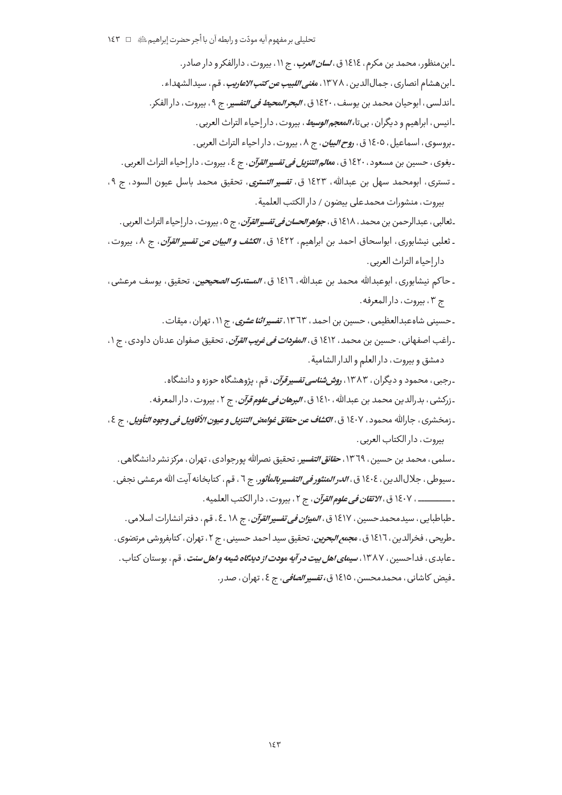۔ابن منظور، محمد بن مکرم، ١٤١٤ ق، *لسان العرب*، ج ١١، بیروت، دارالفکر و دار صادر. ـ ابن هشام انصاری ، جمالالدین ، ۱۳۷۸، م*غنی اللبیب عن کتب الاعاریب* ، ق<sub>م</sub> ، سیدالشهداء . ۔اندلسی ، ابوحیان محمد بن یوسف ، ۱۶۲۰ ق ، *البحر المحیط فی التفسی*ر ، ج ۹ ، بیروت ، دار الفکر . ـانيس ، ابراهيم و ديگران ، بي تا، *المعجم الوسيط* ، بيروت ، دار إحياء التراث العربي . ـ بروسوي ، اسماعيل ، ١٤٠٥ ق ، ر*وح البيان* ، ج ٨ ، بيروت ، دار احياء التراث العربي . ـ بغوي ، حسين بن مسعود ، ١٤٢٠ ق ، م*عالم التنزيل في تفسير القرآن* ، ج ٤ ، بيروت ، دار إحياء التراث العربي . ـ تسترى، ابومحمد سهل بن عبدالله، ١٤٢٣ ق، *تفسير التسترى*، تحقيق محمد باسل عيون السود، ج ٩، بيروت، منشورات محمدعلى بيضون / دار الكتب العلمية. ـ ثعالبي ، عبدالرحمن بن محمد ، ١٤١٨ ق ، *جواهر الحسان في تفسير القرآن* ، ج ٥ ، بيروت ، دار إحياء التراث العربي . ـ ثعلبي نيشابوري، ابواسحاق احمد بن ابراهيم، ١٤٢٢ ق، *الكشف و البيان عن تفسير القرآن*، ج ٨، بيروت، دار إحياء التراث العربي. ـ حاكم نيشابوري، ابوعبدالله محمد بن عبدالله، ١٤١٦ ق، *المستدرك الصحيحين*، تحقيق، يوسف مرعشي، ج ٣، بيروت، دار المعرفه. ـ حسینی شاهعبدالعظیمی ، حسین بن احمد ، ۱۳٦۳، *تفسیراثنا عشری* ، ج ۱۱، تهران ، میقات . ـ راغب اصفهاني، حسين بن محمد، ١٤١٢ ق، *المفردات في غريب القرآن*، تحقيق صفوان عدنان داودي، ج ١، دمشق وبيروت، دار العلم والدار الشامية. ۔رجبی ، محمود و دیگران ، ۱۳۸۳، ر*وش شناسی تفسیر قرآن* ، قم ، پژوهشگاه حوزه و دانشگاه . <sub>- ن</sub>ركشي ، بدرالدين محمد بن عبدالله ، ١٤١٠ ق ، *البرهان في علوم قرآن* ، ج ٢ ، بيروت ، دار المعرفه . ـ زمخشري ، جارالله محمود ، ١٤٠٧ ق ، *الكشاف عن حقائق غوامض التنزيل و عيون الأقاويل في وجوه التأويل* ، ج ٤ ، بيروت، دار الكتاب العربي. ـسلمی ، محمد بن حسین ، ١٣٦٩، *حقائق التفسی*ر، تحقیق نصرالله پورجوادی ، تهران ، مرکز نشر دانشگاهی . ـ سيوطي ، جلال|لدين ، ١٤٠٤ ق ، *الدر المنثور في التفسير بالمأثور*، ج ٦ ، قم ، كتابخانه آيت الله مرعشي نجفي .

ـــــــــــــــ ، ١٤٠٧ ق ، *الاتقان في علوم القرآن* ، ج ٢ ، بيروت ، دار الكتب العلميه .

ـ طباطبايي ، سيدمحمدحسين ، ١٤١٧ ق ، *الميزان في تفسير القرآن* ، ج ١٨ ـ٤ ، قم ، دفتر انشارات اسلامي . ـطريحي ، فخرالدين ، ١٤١٦ ق ، م*جمع البحرين* ، تحقيق سيد احمد حسيني ، ج ٢ ، تهران ، كتابفروشي مرتضوي . ـ عابدي ، فداحسین ، ۱۳۸۷، *سیمای اهل بیت در آیه مودت از دینگاه شیعه و اهل سنت* ، ق<sub>م ،</sub> بوستان کتاب . ۔فیض کاشانی ، محمدمحسن ، ١٤١٥ ق، *تفسیر الصافی* ، ج ٤ ، تهران ، صدر .

 $\Sigma$ ۳